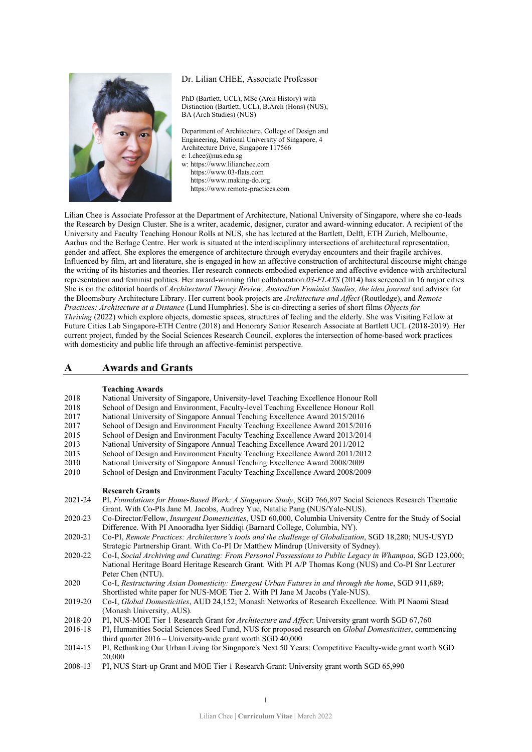### Dr. Lilian CHEE, Associate Professor



PhD (Bartlett, UCL), MSc (Arch History) with Distinction (Bartlett, UCL), B.Arch (Hons) (NUS), BA (Arch Studies) (NUS)

Department of Architecture, College of Design and Engineering, National University of Singapore, 4 Architecture Drive, Singapore 117566 e[: l.chee@nus.edu.sg](mailto:l.chee@nus.edu.sg) w: [https://www.lilianchee.com](https://www.lilianchee.com/) [https://www.03-flats.com](https://www.03-flats.com/)

 [https://www.making-do.org](https://www.making-do.org/) https://www.remote-practices.com

Lilian Chee is Associate Professor at the Department of Architecture, National University of Singapore, where she co-leads the Research by Design Cluster. She is a writer, academic, designer, curator and award-winning educator. A recipient of the University and Faculty Teaching Honour Rolls at NUS, she has lectured at the Bartlett, Delft, ETH Zurich, Melbourne, Aarhus and the Berlage Centre. Her work is situated at the interdisciplinary intersections of architectural representation, gender and affect. She explores the emergence of architecture through everyday encounters and their fragile archives. Influenced by film, art and literature, she is engaged in how an affective construction of architectural discourse might change the writing of its histories and theories. Her research connects embodied experience and affective evidence with architectural representation and feminist politics. Her award-winning film collaboration *03-FLATS* (2014) has screened in 16 major cities. She is on the editorial boards of *Architectural Theory Review, Australian Feminist Studies, the idea journal* and advisor for the Bloomsbury Architecture Library. Her current book projects are *Architecture and Affect* (Routledge), and *Remote Practices: Architecture at a Distance* (Lund Humphries). She is co-directing a series of short films *Objects for Thriving* (2022) which explore objects, domestic spaces, structures of feeling and the elderly. She was Visiting Fellow at Future Cities Lab Singapore-ETH Centre (2018) and Honorary Senior Research Associate at Bartlett UCL (2018-2019). Her current project, funded by the Social Sciences Research Council, explores the intersection of home-based work practices with domesticity and public life through an affective-feminist perspective.

# **A Awards and Grants**

#### **Teaching Awards**

| 2018    | National University of Singapore, University-level Teaching Excellence Honour Roll                                                                                       |
|---------|--------------------------------------------------------------------------------------------------------------------------------------------------------------------------|
| 2018    | School of Design and Environment, Faculty-level Teaching Excellence Honour Roll                                                                                          |
| 2017    | National University of Singapore Annual Teaching Excellence Award 2015/2016                                                                                              |
| 2017    | School of Design and Environment Faculty Teaching Excellence Award 2015/2016                                                                                             |
| 2015    | School of Design and Environment Faculty Teaching Excellence Award 2013/2014                                                                                             |
| 2013    | National University of Singapore Annual Teaching Excellence Award 2011/2012                                                                                              |
| 2013    | School of Design and Environment Faculty Teaching Excellence Award 2011/2012                                                                                             |
| 2010    | National University of Singapore Annual Teaching Excellence Award 2008/2009                                                                                              |
| 2010    | School of Design and Environment Faculty Teaching Excellence Award 2008/2009                                                                                             |
|         | <b>Research Grants</b>                                                                                                                                                   |
| 2021-24 | PI, Foundations for Home-Based Work: A Singapore Study, SGD 766,897 Social Sciences Research Thematic                                                                    |
|         | Grant. With Co-PIs Jane M. Jacobs, Audrey Yue, Natalie Pang (NUS/Yale-NUS).                                                                                              |
| 2020-23 | Co-Director/Fellow, Insurgent Domesticities, USD 60,000, Columbia University Centre for the Study of Social                                                              |
|         | Difference. With PI Anooradha Iyer Siddiqi (Barnard College, Columbia, NY).                                                                                              |
| 2020-21 | Co-PI, Remote Practices: Architecture's tools and the challenge of Globalization, SGD 18,280; NUS-USYD                                                                   |
|         | Strategic Partnership Grant. With Co-PI Dr Matthew Mindrup (University of Sydney).                                                                                       |
| 2020-22 | Co-I, Social Archiving and Curating: From Personal Possessions to Public Legacy in Whampoa, SGD 123,000;                                                                 |
|         | National Heritage Board Heritage Research Grant. With PI A/P Thomas Kong (NUS) and Co-PI Snr Lecturer                                                                    |
|         | Peter Chen (NTU).                                                                                                                                                        |
| 2020    | Co-I, Restructuring Asian Domesticity: Emergent Urban Futures in and through the home, SGD 911,689;                                                                      |
|         | Shortlisted white paper for NUS-MOE Tier 2. With PI Jane M Jacobs (Yale-NUS).                                                                                            |
| 2019-20 | Co-I, Global Domesticities, AUD 24,152; Monash Networks of Research Excellence. With PI Naomi Stead                                                                      |
|         | (Monash University, AUS).                                                                                                                                                |
| 2018-20 | PI, NUS-MOE Tier 1 Research Grant for Architecture and Affect: University grant worth SGD 67,760                                                                         |
| 2016-18 | PI, Humanities Social Sciences Seed Fund, NUS for proposed research on Global Domesticities, commencing<br>third quarter $2016$ – University-wide grant worth SGD 40,000 |
| 2014-15 | PI, Rethinking Our Urban Living for Singapore's Next 50 Years: Competitive Faculty-wide grant worth SGD<br>20,000                                                        |
| 2008-13 | PI, NUS Start-up Grant and MOE Tier 1 Research Grant: University grant worth SGD 65,990                                                                                  |
|         |                                                                                                                                                                          |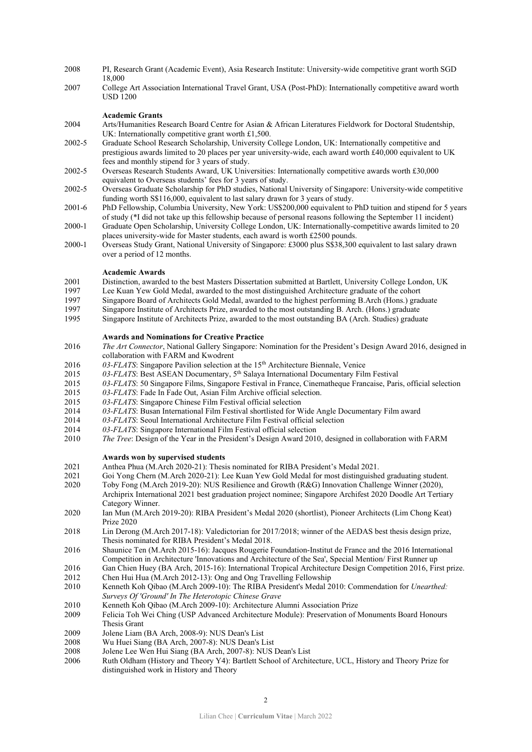- 2008 PI, Research Grant (Academic Event), Asia Research Institute: University-wide competitive grant worth SGD 18,000
- 2007 College Art Association International Travel Grant, USA (Post-PhD): Internationally competitive award worth USD 1200

# **Academic Grants**

- 2004 Arts/Humanities Research Board Centre for Asian & African Literatures Fieldwork for Doctoral Studentship, UK: Internationally competitive grant worth £1,500.
- 2002-5 Graduate School Research Scholarship, University College London, UK: Internationally competitive and prestigious awards limited to 20 places per year university-wide, each award worth £40,000 equivalent to UK fees and monthly stipend for 3 years of study.
- 2002-5 Overseas Research Students Award, UK Universities: Internationally competitive awards worth £30,000 equivalent to Overseas students' fees for 3 years of study.
- 2002-5 Overseas Graduate Scholarship for PhD studies, National University of Singapore: University-wide competitive funding worth S\$116,000, equivalent to last salary drawn for 3 years of study.
- 2001-6 PhD Fellowship, Columbia University, New York: US\$200,000 equivalent to PhD tuition and stipend for 5 years of study (\*I did not take up this fellowship because of personal reasons following the September 11 incident)
- 2000-1 Graduate Open Scholarship, University College London, UK: Internationally-competitive awards limited to 20 places university-wide for Master students, each award is worth £2500 pounds.
- 2000-1 Overseas Study Grant, National University of Singapore: £3000 plus S\$38,300 equivalent to last salary drawn over a period of 12 months.

#### **Academic Awards**

- 2001 Distinction, awarded to the best Masters Dissertation submitted at Bartlett, University College London, UK
- 1997 Lee Kuan Yew Gold Medal, awarded to the most distinguished Architecture graduate of the cohort<br>1997 Singapore Board of Architects Gold Medal, awarded to the highest performing B. Arch (Hons.) gra
- 1997 Singapore Board of Architects Gold Medal, awarded to the highest performing B.Arch (Hons.) graduate<br>1997 Singapore Institute of Architects Prize, awarded to the most outstanding B. Arch. (Hons.) graduate
- Singapore Institute of Architects Prize, awarded to the most outstanding B. Arch. (Hons.) graduate
- 1995 Singapore Institute of Architects Prize, awarded to the most outstanding BA (Arch. Studies) graduate

#### **Awards and Nominations for Creative Practice**

- 2016 *The Art Connector*, National Gallery Singapore: Nomination for the President's Design Award 2016, designed in collaboration with FARM and Kwodrent
- 2016 03-FLATS: Singapore Pavilion selection at the 15<sup>th</sup> Architecture Biennale, Venice
- 2015 *03-FLATS*: Best ASEAN Documentary, 5th Salaya International Documentary Film Festival
- 2015 *03-FLATS*: 50 Singapore Films, Singapore Festival in France, Cinematheque Francaise, Paris, official selection
- 2015 03-FLATS: Fade In Fade Out, Asian Film Archive official selection.<br>2015 03-FLATS: Singapore Chinese Film Festival official selection
- 2015 03-FLATS: Singapore Chinese Film Festival official selection<br>2014 03-FLATS: Busan International Film Festival shortlisted for W
- 2014 *03-FLATS*: Busan International Film Festival shortlisted for Wide Angle Documentary Film award
- 2014 *03-FLATS*: Seoul International Architecture Film Festival official selection
- 2014 03-FLATS: Singapore International Film Festival official selection<br>2010 The Tree: Design of the Year in the President's Design Award 201
- 2010 *The Tree*: Design of the Year in the President's Design Award 2010, designed in collaboration with FARM

#### **Awards won by supervised students**

- 2021 Anthea Phua (M.Arch 2020-21): Thesis nominated for RIBA President's Medal 2021.
- 2021 Goi Yong Chern (M.Arch 2020-21): Lee Kuan Yew Gold Medal for most distinguished graduating student.<br>2020 Toby Fong (M.Arch 2019-20): NUS Resilience and Growth (R&G) Innovation Challenge Winner (2020)
- 2020 Toby Fong (M.Arch 2019-20): NUS Resilience and Growth (R&G) Innovation Challenge Winner (2020),
- Archiprix International 2021 best graduation project nominee; Singapore Archifest 2020 Doodle Art Tertiary Category Winner.
- 2020 Ian Mun (M.Arch 2019-20): RIBA President's Medal 2020 (shortlist), Pioneer Architects (Lim Chong Keat) Prize 2020
- 2018 Lin Derong (M.Arch 2017-18): Valedictorian for 2017/2018; winner of the AEDAS best thesis design prize, Thesis nominated for RIBA President's Medal 2018.
- 2016 Shaunice Ten (M.Arch 2015-16): Jacques Rougerie Foundation-Institut de France and the 2016 International Competition in Architecture 'Innovations and Architecture of the Sea', Special Mention/ First Runner up
- 2016 Gan Chien Huey (BA Arch, 2015-16): International Tropical Architecture Design Competition 2016, First prize.<br>2012 Chen Hui Hua (M.Arch 2012-13): Ong and Ong Travelling Fellowship
- 2012 Chen Hui Hua (M.Arch 2012-13): Ong and Ong Travelling Fellowship<br>2010 Kenneth Koh Oibao (M.Arch 2009-10): The RIBA President's Medal 2
- 2010 Kenneth Koh Qibao (M.Arch 2009-10): The RIBA President's Medal 2010: Commendation for *Unearthed: Surveys Of 'Ground' In The Heterotopic Chinese Grave*
- 2010 Kenneth Koh Qibao (M.Arch 2009-10): Architecture Alumni Association Prize
- 2009 Felicia Toh Wei Ching (USP Advanced Architecture Module): Preservation of Monuments Board Honours Thesis Grant
- 2009 Jolene Liam (BA Arch, 2008-9): NUS Dean's List<br>2008 Wu Huei Siang (BA Arch, 2007-8): NUS Dean's L
- Wu Huei Siang (BA Arch, 2007-8): NUS Dean's List
- 2008 Jolene Lee Wen Hui Siang (BA Arch, 2007-8): NUS Dean's List
- 2006 Ruth Oldham (History and Theory Y4): Bartlett School of Architecture, UCL, History and Theory Prize for distinguished work in History and Theory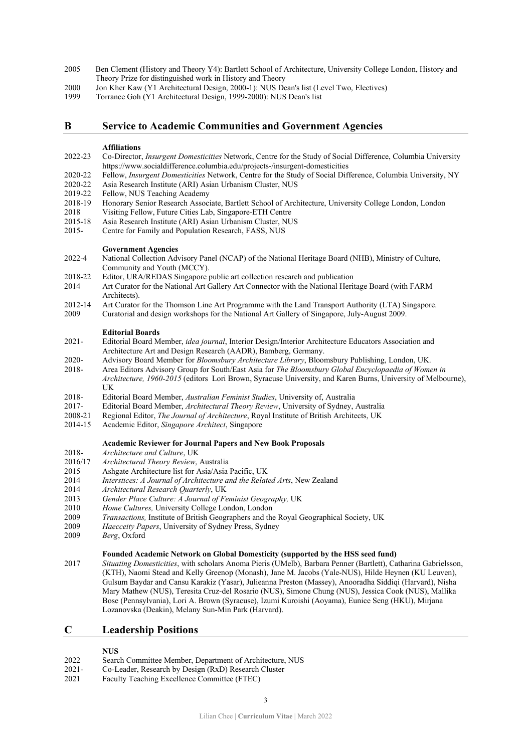- 2005 Ben Clement (History and Theory Y4): Bartlett School of Architecture, University College London, History and Theory Prize for distinguished work in History and Theory
- 2000 Jon Kher Kaw (Y1 Architectural Design, 2000-1): NUS Dean's list (Level Two, Electives)
- 1999 Torrance Goh (Y1 Architectural Design, 1999-2000): NUS Dean's list

# **B Service to Academic Communities and Government Agencies**

#### **Affiliations**

- 2022-23 Co-Director, *Insurgent Domesticities* Network, Centre for the Study of Social Difference, Columbia University https://www.socialdifference.columbia.edu/projects-/insurgent-domesticities
- 2020-22 Fellow, *Insurgent Domesticities* Network, Centre for the Study of Social Difference, Columbia University, NY
- 2020-22 Asia Research Institute (ARI) Asian Urbanism Cluster, NUS
- 2019-22 Fellow, NUS Teaching Academy<br>2018-19 Honorary Senior Research Assoc
- 2018-19 Honorary Senior Research Associate, Bartlett School of Architecture, University College London, London
- 2018 Visiting Fellow, Future Cities Lab, Singapore-ETH Centre
- 2015-18 Asia Research Institute (ARI) Asian Urbanism Cluster, NUS<br>2015- Centre for Family and Population Research, FASS, NUS
- Centre for Family and Population Research, FASS, NUS

#### **Government Agencies**

- 2022-4 National Collection Advisory Panel (NCAP) of the National Heritage Board (NHB), Ministry of Culture, Community and Youth (MCCY).
- 2018-22 Editor, URA/REDAS Singapore public art collection research and publication
- 2014 Art Curator for the National Art Gallery Art Connector with the National Heritage Board (with FARM Architects).
- 2012-14 Art Curator for the Thomson Line Art Programme with the Land Transport Authority (LTA) Singapore.
- 2009 Curatorial and design workshops for the National Art Gallery of Singapore, July-August 2009.

#### **Editorial Boards**

- 2021- Editorial Board Member, *idea journal*, Interior Design/Interior Architecture Educators Association and Architecture Art and Design Research (AADR), Bamberg, Germany.
- 2020- Advisory Board Member for *Bloomsbury Architecture Library*, Bloomsbury Publishing, London, UK.
- 2018- Area Editors Advisory Group for South/East Asia for *The Bloomsbury Global Encyclopaedia of Women in Architecture, 1960-2015* (editors Lori Brown, Syracuse University, and Karen Burns, University of Melbourne), UK
- 2018- Editorial Board Member, *Australian Feminist Studies*, University of, Australia
- 2017- Editorial Board Member, *Architectural Theory Review*, University of Sydney, Australia
- 2008-21 Regional Editor, *The Journal of Architecture*, Royal Institute of British Architects, UK
- 2014-15 Academic Editor, *Singapore Architect*, Singapore

## **Academic Reviewer for Journal Papers and New Book Proposals**

- 2018- *Architecture and Culture*, UK
- 2016/17 *Architectural Theory Review*, Australia
- 2015 Ashgate Architecture list for Asia/Asia Pacific, UK
- 2014 *Interstices: A Journal of Architecture and the Related Arts*, New Zealand
- 2014 *Architectural Research Quarterly*, UK
- 2013 *Gender Place Culture: A Journal of Feminist Geography,* UK
- 2010 *Home Cultures,* University College London, London
- 2009 *Transactions,* Institute of British Geographers and the Royal Geographical Society, UK
- Haecceity Papers, University of Sydney Press, Sydney
- 2009 *Berg*, Oxford

# **Founded Academic Network on Global Domesticity (supported by the HSS seed fund)**

2017 *Situating Domesticities*, with scholars Anoma Pieris (UMelb), Barbara Penner (Bartlett), Catharina Gabrielsson, (KTH), Naomi Stead and Kelly Greenop (Monash), Jane M. Jacobs (Yale-NUS), Hilde Heynen (KU Leuven), Gulsum Baydar and Cansu Karakiz (Yasar), Julieanna Preston (Massey), Anooradha Siddiqi (Harvard), Nisha Mary Mathew (NUS), Teresita Cruz-del Rosario (NUS), Simone Chung (NUS), Jessica Cook (NUS), Mallika Bose (Pennsylvania), Lori A. Brown (Syracuse), Izumi Kuroishi (Aoyama), Eunice Seng (HKU), Mirjana Lozanovska (Deakin), Melany Sun-Min Park (Harvard).

# **C Leadership Positions**

# **NUS**

- 2022 Search Committee Member, Department of Architecture, NUS
- 2021- Co-Leader, Research by Design (RxD) Research Cluster
- 2021 Faculty Teaching Excellence Committee (FTEC)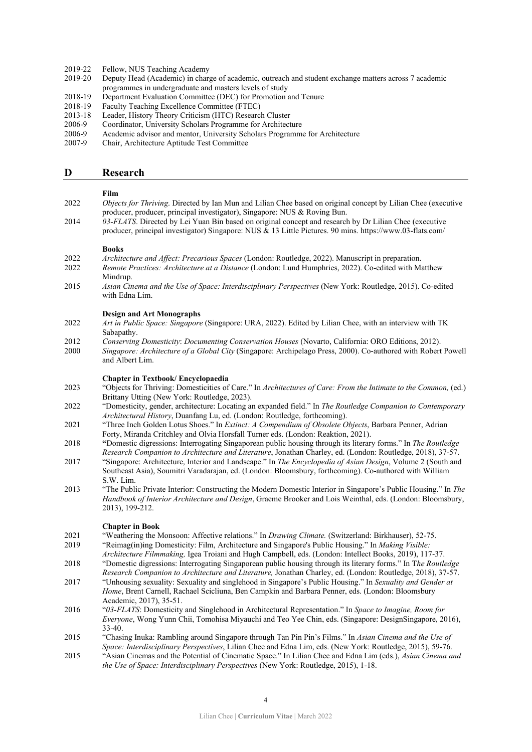- 2019-22 Fellow, NUS Teaching Academy<br>2019-20 Deputy Head (Academic) in charge
- 2019-20 Deputy Head (Academic) in charge of academic, outreach and student exchange matters across 7 academic programmes in undergraduate and masters levels of study
- 2018-19 Department Evaluation Committee (DEC) for Promotion and Tenure<br>2018-19 Faculty Teaching Excellence Committee (FTEC)
- 2018-19 Faculty Teaching Excellence Committee (FTEC)<br>2013-18 Leader, History Theory Criticism (HTC) Researc
- 2013-18 Leader, History Theory Criticism (HTC) Research Cluster<br>2006-9 Coordinator, University Scholars Programme for Architect
- Coordinator, University Scholars Programme for Architecture
- 2006-9 Academic advisor and mentor, University Scholars Programme for Architecture
- 2007-9 Chair, Architecture Aptitude Test Committee

### **D Research**

# **Film**

- 2022 *Objects for Thriving*. Directed by Ian Mun and Lilian Chee based on original concept by Lilian Chee (executive producer, producer, principal investigator), Singapore: NUS & Roving Bun.
- 2014 *03-FLATS*. Directed by Lei Yuan Bin based on original concept and research by Dr Lilian Chee (executive producer, principal investigator) Singapore: NUS & 13 Little Pictures. 90 mins. https://www.03-flats.com/

#### **Books**

- 2022 *Architecture and Affect: Precarious Spaces* (London: Routledge, 2022). Manuscript in preparation.
- 2022 *Remote Practices: Architecture at a Distance* (London: Lund Humphries, 2022). Co-edited with Matthew Mindrup.
- 2015 *Asian Cinema and the Use of Space: Interdisciplinary Perspectives* (New York: Routledge, 2015). Co-edited with Edna Lim.

#### **Design and Art Monographs**

- 2022 *Art in Public Space: Singapore* (Singapore: URA, 2022). Edited by Lilian Chee, with an interview with TK Sabapathy.
- 2012 *Conserving Domesticity*: *Documenting Conservation Houses* (Novarto, California: ORO Editions, 2012).
- 2000 *Singapore: Architecture of a Global City* (Singapore: Archipelago Press, 2000). Co-authored with Robert Powell and Albert Lim.

### **Chapter in Textbook/ Encyclopaedia**

- 2023 "Objects for Thriving: Domesticities of Care." In *Architectures of Care: From the Intimate to the Common,* (ed.) Brittany Utting (New York: Routledge, 2023).
- 2022 "Domesticity, gender, architecture: Locating an expanded field." In *The Routledge Companion to Contemporary Architectural History*, Duanfang Lu, ed. (London: Routledge, forthcoming).
- 2021 "Three Inch Golden Lotus Shoes." In *Extinct: A Compendium of Obsolete Objects*, Barbara Penner, Adrian Forty, Miranda Critchley and Olvia Horsfall Turner eds. (London: Reaktion, 2021).
- 2018 **"**Domestic digressions: Interrogating Singaporean public housing through its literary forms." In *The Routledge*
- *Research Companion to Architecture and Literature*, Jonathan Charley, ed. (London: Routledge, 2018), 37-57. 2017 "Singapore: Architecture, Interior and Landscape." In *The Encyclopedia of Asian Design*, Volume 2 (South and Southeast Asia), Soumitri Varadarajan, ed. (London: Bloomsbury, forthcoming). Co-authored with William S.W. Lim.
- 2013 "The Public Private Interior: Constructing the Modern Domestic Interior in Singapore's Public Housing." In *The Handbook of Interior Architecture and Design*, Graeme Brooker and Lois Weinthal, eds. (London: Bloomsbury, 2013), 199-212.

#### **Chapter in Book**

- 2021 "Weathering the Monsoon: Affective relations." In *Drawing Climate.* (Switzerland: Birkhauser), 52-75.
- 2019 "Reimag(in)ing Domesticity: Film, Architecture and Singapore's Public Housing." In *Making Visible:*
- *Architecture Filmmaking,* Igea Troiani and Hugh Campbell, eds. (London: Intellect Books, 2019), 117-37. 2018 "Domestic digressions: Interrogating Singaporean public housing through its literary forms." In T*he Routledge Research Companion to Architecture and Literature,* Jonathan Charley, ed. (London: Routledge, 2018), 37-57.
- 2017 "Unhousing sexuality: Sexuality and singlehood in Singapore's Public Housing." In *Sexuality and Gender at Home*, Brent Carnell, Rachael Scicliuna, Ben Campkin and Barbara Penner, eds. (London: Bloomsbury
- Academic, 2017), 35-51. 2016 "*03-FLATS*: Domesticity and Singlehood in Architectural Representation." In *Space to Imagine, Room for Everyone*, Wong Yunn Chii, Tomohisa Miyauchi and Teo Yee Chin, eds. (Singapore: DesignSingapore, 2016), 33-40.
- 2015 "Chasing Inuka: Rambling around Singapore through Tan Pin Pin's Films." In *Asian Cinema and the Use of Space: Interdisciplinary Perspectives*, Lilian Chee and Edna Lim, eds. (New York: Routledge, 2015), 59-76.
- 2015 "Asian Cinemas and the Potential of Cinematic Space." In Lilian Chee and Edna Lim (eds.), *Asian Cinema and the Use of Space: Interdisciplinary Perspectives* (New York: Routledge, 2015), 1-18.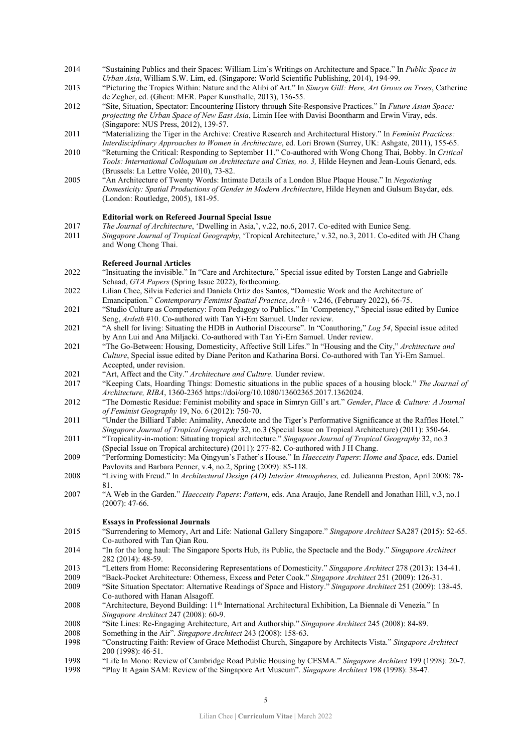- 2014 "Sustaining Publics and their Spaces: William Lim's Writings on Architecture and Space." In *Public Space in Urban Asia*, William S.W. Lim, ed. (Singapore: World Scientific Publishing, 2014), 194-99.
- 2013 "Picturing the Tropics Within: Nature and the Alibi of Art." In *Simryn Gill: Here, Art Grows on Trees*, Catherine de Zegher, ed. (Ghent: MER. Paper Kunsthalle, 2013), 136-55.
- 2012 "Site, Situation, Spectator: Encountering History through Site-Responsive Practices." In *Future Asian Space: projecting the Urban Space of New East Asia*, Limin Hee with Davisi Boontharm and Erwin Viray, eds. (Singapore: NUS Press, 2012), 139-57.
- 2011 "Materializing the Tiger in the Archive: Creative Research and Architectural History." In *Feminist Practices: Interdisciplinary Approaches to Women in Architecture*, ed. Lori Brown (Surrey, UK: Ashgate, 2011), 155-65.
- 2010 "Returning the Critical: Responding to September 11." Co-authored with Wong Chong Thai, Bobby. In *Critical*  Tools: International Colloquium on Architecture and Cities, no. 3, Hilde Heynen and Jean-Louis Genard, eds. (Brussels: La Lettre Volée, 2010), 73-82.
- 2005 "An Architecture of Twenty Words: Intimate Details of a London Blue Plaque House." In *Negotiating Domesticity: Spatial Productions of Gender in Modern Architecture*, Hilde Heynen and Gulsum Baydar, eds. (London: Routledge, 2005), 181-95.

### **Editorial work on Refereed Journal Special Issue**

- 2017 *The Journal of Architecture*, 'Dwelling in Asia,', v.22, no.6, 2017. Co-edited with Eunice Seng.
- 2011 *Singapore Journal of Tropical Geography*, 'Tropical Architecture,' v.32, no.3, 2011. Co-edited with JH Chang and Wong Chong Thai.

## **Refereed Journal Articles**

- 2022 "Insituating the invisible." In "Care and Architecture," Special issue edited by Torsten Lange and Gabrielle Schaad, *GTA Papers* (Spring Issue 2022), forthcoming.
- 2022 Lilian Chee, Silvia Federici and Daniela Ortiz dos Santos, "Domestic Work and the Architecture of
- Emancipation." *Contemporary Feminist Spatial Practice*, *Arch+* v.246, (February 2022), 66-75. 2021 "Studio Culture as Competency: From Pedagogy to Publics." In 'Competency," Special issue edited by Eunice Seng, *Ardeth* #10. Co-authored with Tan Yi-Ern Samuel. Under review.
- 2021 "A shell for living: Situating the HDB in Authorial Discourse". In "Coauthoring," *Log 54*, Special issue edited by Ann Lui and Ana Miljacki. Co-authored with Tan Yi-Ern Samuel. Under review.
- 2021 "The Go-Between: Housing, Domesticity, Affective Still Lifes." In "Housing and the City," *Architecture and Culture*, Special issue edited by Diane Periton and Katharina Borsi. Co-authored with Tan Yi-Ern Samuel. Accepted, under revision.
- 2021 "Art, Affect and the City." *Architecture and Culture*. Uunder review.
- 2017 "Keeping Cats, Hoarding Things: Domestic situations in the public spaces of a housing block." *The Journal of Architecture, RIBA*, 1360-2365 https://doi/org/10.1080/13602365.2017.1362024.
- 2012 "The Domestic Residue: Feminist mobility and space in Simryn Gill's art." *Gender*, *Place & Culture: A Journal of Feminist Geography* 19, No. 6 (2012): 750-70.
- 2011 "Under the Billiard Table: Animality, Anecdote and the Tiger's Performative Significance at the Raffles Hotel." *Singapore Journal of Tropical Geography* 32, no.3 (Special Issue on Tropical Architecture) (2011): 350-64.
- 2011 "Tropicality-in-motion: Situating tropical architecture." *Singapore Journal of Tropical Geography* 32, no.3 (Special Issue on Tropical architecture) (2011): 277-82. Co-authored with J H Chang.
- 2009 "Performing Domesticity: Ma Qingyun's Father's House." In *Haecceity Papers*: *Home and Space*, eds. Daniel Pavlovits and Barbara Penner, v.4, no.2, Spring (2009): 85-118.
- 2008 "Living with Freud." In *Architectural Design (AD) Interior Atmospheres,* ed. Julieanna Preston, April 2008: 78- 81.
- 2007 "A Web in the Garden." *Haecceity Papers*: *Pattern*, eds. Ana Araujo, Jane Rendell and Jonathan Hill, v.3, no.1 (2007): 47-66.

## **Essays in Professional Journals**

- 2015 "Surrendering to Memory, Art and Life: National Gallery Singapore." *Singapore Architect* SA287 (2015): 52-65. Co-authored with Tan Qian Rou.
- 2014 "In for the long haul: The Singapore Sports Hub, its Public, the Spectacle and the Body." *Singapore Architect* 282 (2014): 48-59.
- 2013 "Letters from Home: Reconsidering Representations of Domesticity." *Singapore Architect* 278 (2013): 134-41.
- 2009 "Back-Pocket Architecture: Otherness, Excess and Peter Cook." *Singapore Architect* 251 (2009): 126-31.
- 2009 "Site Situation Spectator: Alternative Readings of Space and History." *Singapore Architect* 251 (2009): 138-45. Co-authored with Hanan Alsagoff.
- 2008 "Architecture, Beyond Building: 11th International Architectural Exhibition, La Biennale di Venezia." In *Singapore Architect* 247 (2008): 60-9.
- 2008 "Site Lines: Re-Engaging Architecture, Art and Authorship." *Singapore Architect* 245 (2008): 84-89.
- 2008 Something in the Air". *Singapore Architect* 243 (2008): 158-63.
- 1998 "Constructing Faith: Review of Grace Methodist Church, Singapore by Architects Vista." *Singapore Architect* 200 (1998): 46-51.
- 1998 "Life In Mono: Review of Cambridge Road Public Housing by CESMA." *Singapore Architect* 199 (1998): 20-7.
- 1998 "Play It Again SAM: Review of the Singapore Art Museum". *Singapore Architect* 198 (1998): 38-47.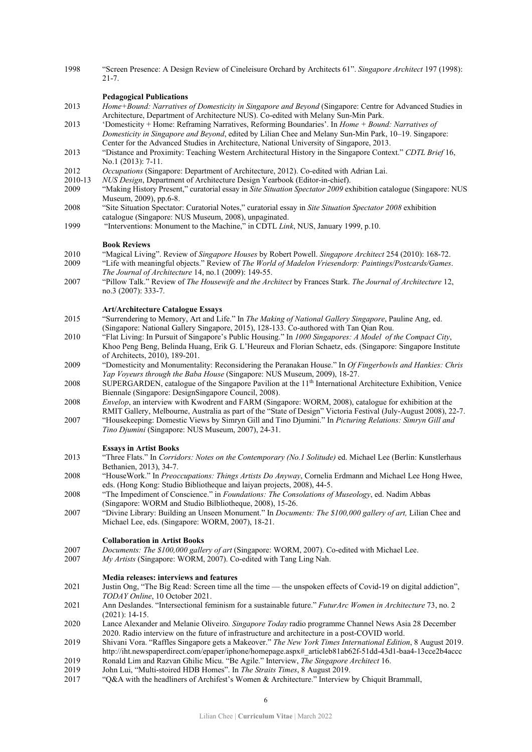1998 "Screen Presence: A Design Review of Cineleisure Orchard by Architects 61". *Singapore Architect* 197 (1998): 21-7.

### **Pedagogical Publications**

- 2013 *Home+Bound: Narratives of Domesticity in Singapore and Beyond* (Singapore: Centre for Advanced Studies in Architecture, Department of Architecture NUS). Co-edited with Melany Sun-Min Park.
- 2013 'Domesticity + Home: Reframing Narratives, Reforming Boundaries'. In *Home + Bound: Narratives of Domesticity in Singapore and Beyond*, edited by Lilian Chee and Melany Sun-Min Park, 10–19. Singapore: Center for the Advanced Studies in Architecture, National University of Singapore, 2013.
- 2013 "Distance and Proximity: Teaching Western Architectural History in the Singapore Context." *CDTL Brief* 16, No.1 (2013): 7-11.
- 2012 *Occupations* (Singapore: Department of Architecture, 2012). Co-edited with Adrian Lai.
- 2010-13 *NUS Design*, Department of Architecture Design Yearbook (Editor-in-chief).
- 2009 "Making History Present," curatorial essay in *Site Situation Spectator 2009* exhibition catalogue (Singapore: NUS Museum, 2009), pp.6-8.
- 2008 "Site Situation Spectator: Curatorial Notes," curatorial essay in *Site Situation Spectator 2008* exhibition catalogue (Singapore: NUS Museum, 2008), unpaginated.
- 1999 "Interventions: Monument to the Machine," in CDTL *Link*, NUS, January 1999, p.10.

#### **Book Reviews**

- 2010 "Magical Living". Review of *Singapore Houses* by Robert Powell. *Singapore Architect* 254 (2010): 168-72.
- 2009 "Life with meaningful objects." Review of *The World of Madelon Vriesendorp: Paintings/Postcards/Games*. *The Journal of Architecture* 14, no.1 (2009): 149-55.
- 2007 "Pillow Talk." Review of *The Housewife and the Architect* by Frances Stark. *The Journal of Architecture* 12, no.3 (2007): 333-7.

### **Art/Architecture Catalogue Essays**

- 2015 "Surrendering to Memory, Art and Life." In *The Making of National Gallery Singapore*, Pauline Ang, ed. (Singapore: National Gallery Singapore, 2015), 128-133. Co-authored with Tan Qian Rou.
- 2010 "Flat Living: In Pursuit of Singapore's Public Housing." In *1000 Singapores: A Model of the Compact City*, Khoo Peng Beng, Belinda Huang, Erik G. L'Heureux and Florian Schaetz, eds. (Singapore: Singapore Institute of Architects, 2010), 189-201.
- 2009 "Domesticity and Monumentality: Reconsidering the Peranakan House." In *Of Fingerbowls and Hankies: Chris Yap Voyeurs through the Baba House* (Singapore: NUS Museum, 2009), 18-27.
- 2008 SUPERGARDEN, catalogue of the Singapore Pavilion at the 11<sup>th</sup> International Architecture Exhibition, Venice Biennale (Singapore: DesignSingapore Council, 2008).
- 2008 *Envelop*, an interview with Kwodrent and FARM (Singapore: WORM, 2008), catalogue for exhibition at the RMIT Gallery, Melbourne, Australia as part of the "State of Design" Victoria Festival (July-August 2008), 22-7.
- 2007 "Housekeeping: Domestic Views by Simryn Gill and Tino Djumini." In *Picturing Relations: Simryn Gill and Tino Djumini* (Singapore: NUS Museum, 2007), 24-31.

#### **Essays in Artist Books**

- 2013 "Three Flats." In *Corridors: Notes on the Contemporary (No.1 Solitude)* ed. Michael Lee (Berlin: Kunstlerhaus Bethanien, 2013), 34-7.
- 2008 "HouseWork." In *Preoccupations: Things Artists Do Anyway*, Cornelia Erdmann and Michael Lee Hong Hwee, eds. (Hong Kong: Studio Bibliotheque and laiyan projects, 2008), 44-5.
- 2008 "The Impediment of Conscience." in *Foundations: The Consolations of Museology*, ed. Nadim Abbas (Singapore: WORM and Studio Bilbliotheque, 2008), 15-26.
- 2007 "Divine Library: Building an Unseen Monument." In *Documents: The \$100,000 gallery of art,* Lilian Chee and Michael Lee, eds. (Singapore: WORM, 2007), 18-21.

#### **Collaboration in Artist Books**

- 2007 *Documents: The \$100,000 gallery of art* (Singapore: WORM, 2007). Co-edited with Michael Lee.
- 2007 *My Artists* (Singapore: WORM, 2007). Co-edited with Tang Ling Nah.

#### **Media releases: interviews and features**

- 2021 Justin Ong, "The Big Read: Screen time all the time the unspoken effects of Covid-19 on digital addiction", *TODAY Online*, 10 October 2021.
- 2021 Ann Deslandes. "Intersectional feminism for a sustainable future." *FuturArc Women in Architecture* 73, no. 2 (2021): 14-15.
- 2020 Lance Alexander and Melanie Oliveiro*. Singapore Today* radio programme Channel News Asia 28 December 2020. Radio interview on the future of infrastructure and architecture in a post-COVID world.
- 2019 Shivani Vora. "Raffles Singapore gets a Makeover." *The New York Times International Edition*, 8 August 2019. http://iht.newspaperdirect.com/epaper/iphone/homepage.aspx#\_articleb81ab62f-51dd-43d1-baa4-13cce2b4accc
- 2019 Ronald Lim and Razvan Ghilic Micu. "Be Agile." Interview, *The Singapore Architect* 16.<br>2019 John Lui. "Multi-stoired HDB Homes". In *The Straits Times*. 8 August 2019.
- 2019 John Lui, "Multi-stoired HDB Homes". In *The Straits Times*, 8 August 2019.<br>2017 **Collary and Strain Collary August** 2017 **Collary 2017 Collary 2017 Collary 2017**
- "Q&A with the headliners of Archifest's Women & Architecture." Interview by Chiquit Brammall,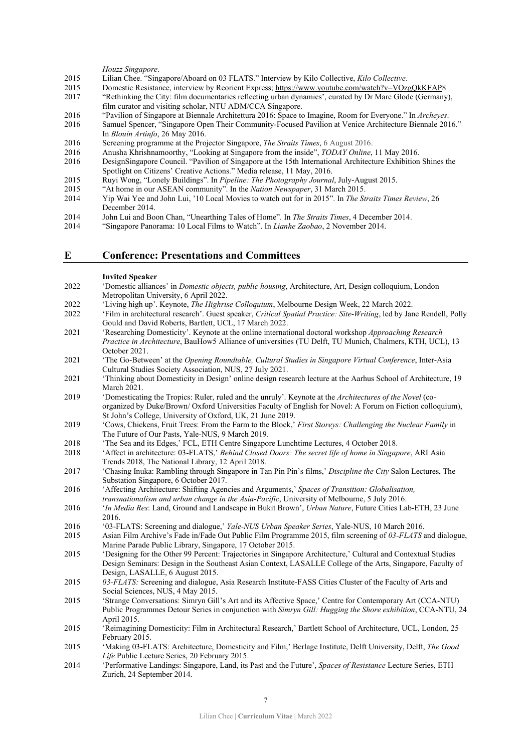#### *Houzz Singapore*.

- 2015 Lilian Chee. "Singapore/Aboard on 03 FLATS." Interview by Kilo Collective, *Kilo Collective*.
- 2015 Domestic Resistance, interview by Reorient Express[; https://www.youtube.com/watch?v=VOzgQkKFAP8](https://www.youtube.com/watch?v=VOzgQkKFAP)
- 2017 "Rethinking the City: film documentaries reflecting urban dynamics', curated by Dr Marc Glode (Germany), film curator and visiting scholar, NTU ADM/CCA Singapore.
- 2016 "Pavilion of Singapore at Biennale Architettura 2016: Space to Imagine, Room for Everyone." In *Archeyes*.
- 2016 Samuel Spencer, "Singapore Open Their Community-Focused Pavilion at Venice Architecture Biennale 2016." In *Blouin Artinfo*, 26 May 2016.
- 2016 Screening programme at the Projector Singapore, *The Straits Times*, 6 August 2016.
- 2016 Anusha Khrishnamoorthy, "Looking at Singapore from the inside", *TODAY Online*, 11 May 2016.
- 2016 DesignSingapore Council. "Pavilion of Singapore at the 15th International Architecture Exhibition Shines the Spotlight on Citizens' Creative Actions." Media release, 11 May, 2016.
- 2015 Ruyi Wong, "Lonely Buildings". In *Pipeline: The Photography Journal*, July-August 2015.
- 2015 "At home in our ASEAN community". In the *Nation Newspaper*, 31 March 2015.
- 2014 Yip Wai Yee and John Lui, '10 Local Movies to watch out for in 2015". In *The Straits Times Review*, 26 December 2014.
- 2014 John Lui and Boon Chan, "Unearthing Tales of Home". In *The Straits Times*, 4 December 2014.
- 2014 "Singapore Panorama: 10 Local Films to Watch". In *Lianhe Zaobao*, 2 November 2014.

# **E Conference: Presentations and Committees**

#### **Invited Speaker**

- 2022 'Domestic alliances' in *Domestic objects, public housing*, Architecture, Art, Design colloquium, London Metropolitan University, 6 April 2022.
- 2022 'Living high up'. Keynote, *The Highrise Colloquium*, Melbourne Design Week, 22 March 2022.
- 2022 'Film in architectural research'. Guest speaker, *Critical Spatial Practice: Site-Writing*, led by Jane Rendell, Polly Gould and David Roberts, Bartlett, UCL, 17 March 2022.
- 2021 'Researching Domesticity'. Keynote at the online international doctoral workshop *Approaching Research Practice in Architecture*, BauHow5 Alliance of universities (TU Delft, TU Munich, Chalmers, KTH, UCL), 13 October 2021.
- 2021 'The Go-Between' at the *Opening Roundtable, Cultural Studies in Singapore Virtual Conference*, Inter-Asia Cultural Studies Society Association, NUS, 27 July 2021.
- 2021 'Thinking about Domesticity in Design' online design research lecture at the Aarhus School of Architecture, 19 March 2021.
- 2019 'Domesticating the Tropics: Ruler, ruled and the unruly'. Keynote at the *Architectures of the Novel* (coorganized by Duke/Brown/ Oxford Universities Faculty of English for Novel: A Forum on Fiction colloquium), St John's College, University of Oxford, UK, 21 June 2019.
- 2019 'Cows, Chickens, Fruit Trees: From the Farm to the Block,' *First Storeys: Challenging the Nuclear Family* in The Future of Our Pasts, Yale-NUS, 9 March 2019.
- 2018 'The Sea and its Edges,' FCL, ETH Centre Singapore Lunchtime Lectures, 4 October 2018.
- 2018 'Affect in architecture: 03-FLATS,' *Behind Closed Doors: The secret life of home in Singapore*, ARI Asia Trends 2018, The National Library, 12 April 2018.
- 2017 'Chasing Inuka: Rambling through Singapore in Tan Pin Pin's films,' *Discipline the City* Salon Lectures, The Substation Singapore, 6 October 2017.
- 2016 'Affecting Architecture: Shifting Agencies and Arguments,' *Spaces of Transition: Globalisation, transnationalism and urban change in the Asia-Pacific*, University of Melbourne, 5 July 2016.
- 
- 2016 '*In Media Res*: Land, Ground and Landscape in Bukit Brown', *Urban Nature*, Future Cities Lab-ETH, 23 June 2016.
- 2016 '03-FLATS: Screening and dialogue,' *Yale-NUS Urban Speaker Series*, Yale-NUS, 10 March 2016.
- 2015 Asian Film Archive's Fade in/Fade Out Public Film Programme 2015, film screening of *03-FLATS* and dialogue, Marine Parade Public Library, Singapore, 17 October 2015.
- 2015 'Designing for the Other 99 Percent: Trajectories in Singapore Architecture,' Cultural and Contextual Studies Design Seminars: Design in the Southeast Asian Context, LASALLE College of the Arts, Singapore, Faculty of Design, LASALLE, 6 August 2015.
- 2015 *03-FLATS:* Screening and dialogue, Asia Research Institute-FASS Cities Cluster of the Faculty of Arts and Social Sciences, NUS, 4 May 2015.
- 2015 'Strange Conversations: Simryn Gill's Art and its Affective Space,' Centre for Contemporary Art (CCA-NTU) Public Programmes Detour Series in conjunction with *Simryn Gill: Hugging the Shore exhibition*, CCA-NTU, 24 April 2015.
- 2015 'Reimagining Domesticity: Film in Architectural Research,' Bartlett School of Architecture, UCL, London, 25 February 2015.
- 2015 'Making 03-FLATS: Architecture, Domesticity and Film,' Berlage Institute, Delft University, Delft, *The Good Life* Public Lecture Series, 20 February 2015.
- 2014 'Performative Landings: Singapore, Land, its Past and the Future', *Spaces of Resistance* Lecture Series, ETH Zurich, 24 September 2014.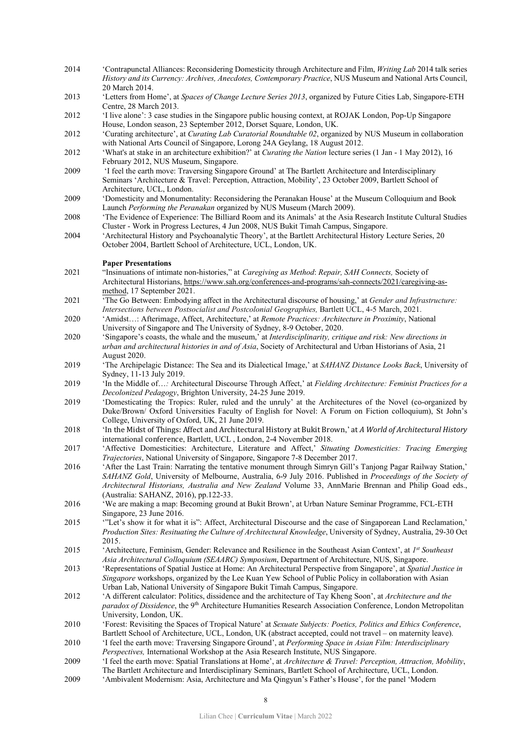- 2014 'Contrapunctal Alliances: Reconsidering Domesticity through Architecture and Film, *Writing Lab* 2014 talk series *History and its Currency: Archives, Anecdotes, Contemporary Practice*, NUS Museum and National Arts Council, 20 March 2014.
- 2013 'Letters from Home', at *Spaces of Change Lecture Series 2013*, organized by Future Cities Lab, Singapore-ETH Centre, 28 March 2013.
- 2012 'I live alone': 3 case studies in the Singapore public housing context, at ROJAK London, Pop-Up Singapore House, London season, 23 September 2012, Dorset Square, London, UK.
- 2012 'Curating architecture', at *Curating Lab Curatorial Roundtable 02*, organized by NUS Museum in collaboration with National Arts Council of Singapore, Lorong 24A Geylang, 18 August 2012.
- 2012 'What's at stake in an architecture exhibition?' at *Curating the Nation* lecture series (1 Jan 1 May 2012), 16 February 2012, NUS Museum, Singapore.
- 2009 'I feel the earth move: Traversing Singapore Ground' at The Bartlett Architecture and Interdisciplinary Seminars 'Architecture & Travel: Perception, Attraction, Mobility', 23 October 2009, Bartlett School of Architecture, UCL, London.

2009 'Domesticity and Monumentality: Reconsidering the Peranakan House' at the Museum Colloquium and Book Launch *Performing the Peranakan* organized by NUS Museum (March 2009).

- 2008 'The Evidence of Experience: The Billiard Room and its Animals' at the Asia Research Institute Cultural Studies Cluster - Work in Progress Lectures, 4 Jun 2008, NUS Bukit Timah Campus, Singapore.
- 2004 'Architectural History and Psychoanalytic Theory', at the Bartlett Architectural History Lecture Series, 20 October 2004, Bartlett School of Architecture, UCL, London, UK.

#### **Paper Presentations**

- 2021 "Insinuations of intimate non-histories," at *Caregiving as Method*: *Repair, SAH Connects,* Society of Architectural Historians, [https://www.sah.org/conferences-and-programs/sah-connects/2021/caregiving-as](https://www.sah.org/conferences-and-programs/sah-connects/2021/caregiving-as-method)[method,](https://www.sah.org/conferences-and-programs/sah-connects/2021/caregiving-as-method) 17 September 2021.
- 2021 'The Go Between: Embodying affect in the Architectural discourse of housing,' at *Gender and Infrastructure: Intersections between Postsocialist and Postcolonial Geographies,* Bartlett UCL, 4-5 March, 2021.
- 2020 'Amidst…: Afterimage, Affect, Architecture,' at *Remote Practices: Architecture in Proximity*, National University of Singapore and The University of Sydney, 8-9 October, 2020.
- 2020 'Singapore's coasts, the whale and the museum,' at *Interdisciplinarity, critique and risk: New directions in urban and architectural histories in and of Asia*, Society of Architectural and Urban Historians of Asia, 21 August 2020.
- 2019 'The Archipelagic Distance: The Sea and its Dialectical Image,' at *SAHANZ Distance Looks Back*, University of Sydney, 11-13 July 2019.
- 2019 'In the Middle of…*:* Architectural Discourse Through Affect,' at *Fielding Architecture: Feminist Practices for a Decolonized Pedagogy*, Brighton University, 24-25 June 2019.
- 2019 'Domesticating the Tropics: Ruler, ruled and the unruly' at the Architectures of the Novel (co-organized by Duke/Brown/ Oxford Universities Faculty of English for Novel: A Forum on Fiction colloquium), St John's College, University of Oxford, UK, 21 June 2019.
- 2018 'In the Midst of Things: Affect and Architectural History at Bukit Brown,' at *A World of Architectural History* international conference, Bartlett, UCL , London, 2-4 November 2018.
- 2017 'Affective Domesticities: Architecture, Literature and Affect,' *Situating Domesticities: Tracing Emerging Trajectories*, National University of Singapore, Singapore 7-8 December 2017.
- 2016 'After the Last Train: Narrating the tentative monument through Simryn Gill's Tanjong Pagar Railway Station,' *SAHANZ Gold*, University of Melbourne, Australia, 6-9 July 2016. Published in *Proceedings of the Society of Architectural Historians, Australia and New Zealand* Volume 33, AnnMarie Brennan and Philip Goad eds., (Australia: SAHANZ, 2016), pp.122-33.
- 2016 'We are making a map: Becoming ground at Bukit Brown', at Urban Nature Seminar Programme, FCL-ETH Singapore, 23 June 2016.
- 2015 '"Let's show it for what it is": Affect, Architectural Discourse and the case of Singaporean Land Reclamation,' *Production Sites: Resituating the Culture of Architectural Knowledge*, University of Sydney, Australia, 29-30 Oct 2015.
- 2015 'Architecture, Feminism, Gender: Relevance and Resilience in the Southeast Asian Context', at *1st Southeast Asia Architectural Colloquium (SEAARC) Symposium*, Department of Architecture, NUS, Singapore.
- 2013 'Representations of Spatial Justice at Home: An Architectural Perspective from Singapore', at *Spatial Justice in Singapore* workshops, organized by the Lee Kuan Yew School of Public Policy in collaboration with Asian Urban Lab, National University of Singapore Bukit Timah Campus, Singapore.
- 2012 'A different calculator: Politics, dissidence and the architecture of Tay Kheng Soon', at *Architecture and the paradox of Dissidence*, the 9th Architecture Humanities Research Association Conference, London Metropolitan University, London, UK.
- 2010 'Forest: Revisiting the Spaces of Tropical Nature' at *Sexuate Subjects: Poetics, Politics and Ethics Conference*, Bartlett School of Architecture, UCL, London, UK (abstract accepted, could not travel – on maternity leave).
- 2010 'I feel the earth move: Traversing Singapore Ground', at *Performing Space in Asian Film: Interdisciplinary Perspectives,* International Workshop at the Asia Research Institute, NUS Singapore.
- 2009 'I feel the earth move: Spatial Translations at Home', at *Architecture & Travel: Perception, Attraction, Mobility*, The Bartlett Architecture and Interdisciplinary Seminars, Bartlett School of Architecture, UCL, London.
- 2009 'Ambivalent Modernism: Asia, Architecture and Ma Qingyun's Father's House', for the panel 'Modern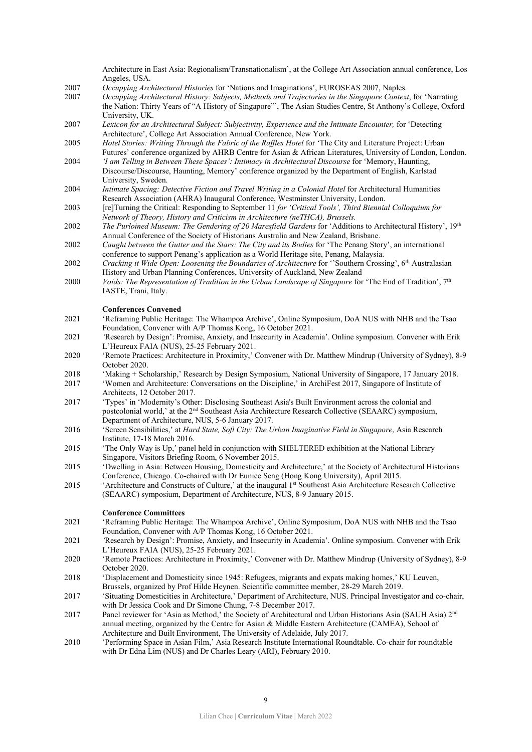Architecture in East Asia: Regionalism/Transnationalism', at the College Art Association annual conference, Los Angeles, USA.

- 2007 *Occupying Architectural Histories* for 'Nations and Imaginations', EUROSEAS 2007, Naples.
- 2007 *Occupying Architectural History: Subjects, Methods and Trajectories in the Singapore Context*, for 'Narrating the Nation: Thirty Years of "A History of Singapore"', The Asian Studies Centre, St Anthony's College, Oxford University, UK.
- 2007 *Lexicon for an Architectural Subject: Subjectivity, Experience and the Intimate Encounter,* for 'Detecting Architecture', College Art Association Annual Conference, New York.
- 2005 *Hotel Stories: Writing Through the Fabric of the Raffles Hotel* for 'The City and Literature Project: Urban Futures' conference organized by AHRB Centre for Asian & African Literatures, University of London, London.
- 2004 *'I am Telling in Between These Spaces': Intimacy in Architectural Discourse* for 'Memory, Haunting, Discourse/Discourse, Haunting, Memory' conference organized by the Department of English, Karlstad University, Sweden.
- 2004 *Intimate Spacing: Detective Fiction and Travel Writing in a Colonial Hotel* for Architectural Humanities Research Association (AHRA) Inaugural Conference, Westminster University, London.
- 2003 [re]Turning the Critical: Responding to September 11 *for 'Critical Tools', Third Biennial Colloquium for Network of Theory, History and Criticism in Architecture (neTHCA), Brussels.*
- 2002 *The Purloined Museum: The Gendering of 20 Maresfield Gardens* for 'Additions to Architectural History', 19th Annual Conference of the Society of Historians Australia and New Zealand, Brisbane.
- 2002 *Caught between the Gutter and the Stars: The City and its Bodies* for 'The Penang Story', an international conference to support Penang's application as a World Heritage site, Penang, Malaysia.
- 2002 *Cracking it Wide Open: Loosening the Boundaries of Architecture* for ''Southern Crossing', 6th Australasian History and Urban Planning Conferences, University of Auckland, New Zealand
- 2000 *Voids: The Representation of Tradition in the Urban Landscape of Singapore* for 'The End of Tradition', 7th IASTE, Trani, Italy.

## **Conferences Convened**

- 2021 'Reframing Public Heritage: The Whampoa Archive', Online Symposium, DoA NUS with NHB and the Tsao Foundation, Convener with A/P Thomas Kong, 16 October 2021.
- 2021 *'*Research by Design': Promise, Anxiety, and Insecurity in Academia'. Online symposium. Convener with Erik L'Heureux FAIA (NUS), 25-25 February 2021.
- 2020 'Remote Practices: Architecture in Proximity,' Convener with Dr. Matthew Mindrup (University of Sydney), 8-9 October 2020.
- 2018 'Making + Scholarship,' Research by Design Symposium, National University of Singapore, 17 January 2018.
- 2017 'Women and Architecture: Conversations on the Discipline,' in ArchiFest 2017, Singapore of Institute of Architects, 12 October 2017.
- 2017 'Types' in 'Modernity's Other: Disclosing Southeast Asia's Built Environment across the colonial and postcolonial world,' at the 2<sup>nd</sup> Southeast Asia Architecture Research Collective (SEAARC) symposium, Department of Architecture, NUS, 5-6 January 2017.
- 2016 'Screen Sensibilities,' at *Hard State, Soft City: The Urban Imaginative Field in Singapore*, Asia Research Institute, 17-18 March 2016.
- 2015 'The Only Way is Up,' panel held in conjunction with SHELTERED exhibition at the National Library Singapore, Visitors Briefing Room, 6 November 2015.
- 2015 'Dwelling in Asia: Between Housing, Domesticity and Architecture,' at the Society of Architectural Historians Conference, Chicago. Co-chaired with Dr Eunice Seng (Hong Kong University), April 2015.
- 2015 'Architecture and Constructs of Culture,' at the inaugural 1st Southeast Asia Architecture Research Collective (SEAARC) symposium, Department of Architecture, NUS, 8-9 January 2015.

## **Conference Committees**

- 2021 'Reframing Public Heritage: The Whampoa Archive', Online Symposium, DoA NUS with NHB and the Tsao Foundation, Convener with A/P Thomas Kong, 16 October 2021.
- 2021 *'*Research by Design': Promise, Anxiety, and Insecurity in Academia'. Online symposium. Convener with Erik L'Heureux FAIA (NUS), 25-25 February 2021.
- 2020 'Remote Practices: Architecture in Proximity,' Convener with Dr. Matthew Mindrup (University of Sydney), 8-9 October 2020.
- 2018 'Displacement and Domesticity since 1945: Refugees, migrants and expats making homes,' KU Leuven, Brussels, organized by Prof Hilde Heynen. Scientific committee member, 28-29 March 2019.
- 2017 'Situating Domesticities in Architecture,' Department of Architecture, NUS. Principal Investigator and co-chair, with Dr Jessica Cook and Dr Simone Chung, 7-8 December 2017.
- 2017 Panel reviewer for 'Asia as Method,' the Society of Architectural and Urban Historians Asia (SAUH Asia) 2<sup>nd</sup> annual meeting, organized by the Centre for Asian & Middle Eastern Architecture (CAMEA), School of Architecture and Built Environment, The University of Adelaide, July 2017.
- 2010 'Performing Space in Asian Film,' Asia Research Institute International Roundtable. Co-chair for roundtable with Dr Edna Lim (NUS) and Dr Charles Leary (ARI), February 2010.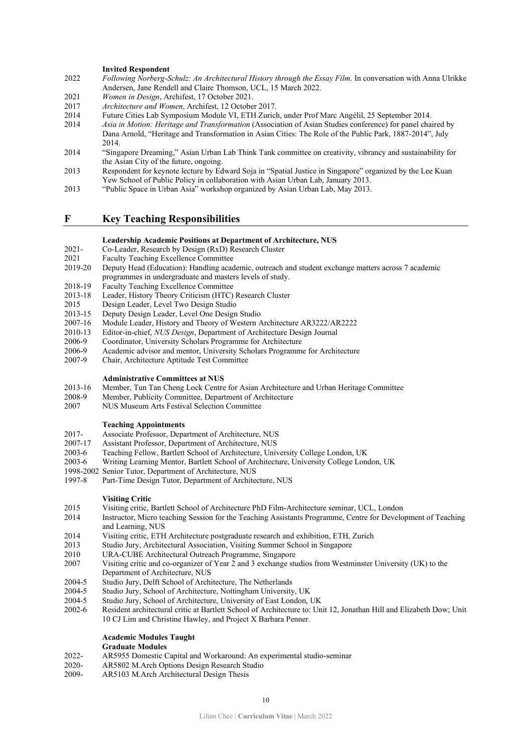#### **Invited Respondent**

- 2022 *Following Norberg-Schulz: An Architectural History through the Essay Film*. In conversation with Anna Ulrikke Andersen, Jane Rendell and Claire Thomson, UCL, 15 March 2022.
- 2021 *Women in Design*, Archifest, 17 October 2021.
- 2017 *Architecture and Women*, Archifest, 12 October 2017.
- 2014 Future Cities Lab Symposium Module VI, ETH Zurich, under Prof Marc Angélil, 25 September 2014.
- 2014 *Asia in Motion: Heritage and Transformation* (Association of Asian Studies conference) for panel chaired by Dana Arnold, "Heritage and Transformation in Asian Cities: The Role of the Public Park, 1887-2014", July 2014.
- 2014 "Singapore Dreaming," Asian Urban Lab Think Tank committee on creativity, vibrancy and sustainability for the Asian City of the future, ongoing.
- 2013 Respondent for keynote lecture by Edward Soja in "Spatial Justice in Singapore" organized by the Lee Kuan Yew School of Public Policy in collaboration with Asian Urban Lab, January 2013.
- 2013 "Public Space in Urban Asia" workshop organized by Asian Urban Lab, May 2013.

# **F Key Teaching Responsibilities**

#### **Leadership Academic Positions at Department of Architecture, NUS**

- 2021- Co-Leader, Research by Design (RxD) Research Cluster
- 2021 Faculty Teaching Excellence Committee
- 2019-20 Deputy Head (Education): Handling academic, outreach and student exchange matters across 7 academic programmes in undergraduate and masters levels of study.
- 2018-19 Faculty Teaching Excellence Committee
- 2013-18 Leader, History Theory Criticism (HTC) Research Cluster
- 2015 Design Leader, Level Two Design Studio
- 2013-15 Deputy Design Leader, Level One Design Studio
- 2007-16 Module Leader, History and Theory of Western Architecture AR3222/AR2222
- 2010-13 Editor-in-chief, *NUS Design*, Department of Architecture Design Journal
- Coordinator, University Scholars Programme for Architecture
- 2006-9 Academic advisor and mentor, University Scholars Programme for Architecture
- 2007-9 Chair, Architecture Aptitude Test Committee

#### **Administrative Committees at NUS**

- 2013-16 Member, Tun Tan Cheng Lock Centre for Asian Architecture and Urban Heritage Committee
- 2008-9 Member, Publicity Committee, Department of Architecture
- 2007 NUS Museum Arts Festival Selection Committee

### **Teaching Appointments**

- 2017- Associate Professor, Department of Architecture, NUS<br>2007-17 Assistant Professor, Department of Architecture, NUS
- Assistant Professor, Department of Architecture, NUS
- 2003-6 Teaching Fellow, Bartlett School of Architecture, University College London, UK
- 2003-6 Writing Learning Mentor, Bartlett School of Architecture, University College London, UK
- 1998-2002 Senior Tutor, Department of Architecture, NUS
- 1997-8 Part-Time Design Tutor, Department of Architecture, NUS

#### **Visiting Critic**

- 2015 Visiting critic, Bartlett School of Architecture PhD Film-Architecture seminar, UCL, London<br>2014 Instructor, Micro teaching Session for the Teaching Assistants Programme. Centre for Develo
- Instructor, Micro teaching Session for the Teaching Assistants Programme, Centre for Development of Teaching and Learning, NUS
- 2014 Visiting critic, ETH Architecture postgraduate research and exhibition, ETH, Zurich
- 2013 Studio Jury, Architectural Association, Visiting Summer School in Singapore
- 2010 URA-CUBE Architectural Outreach Programme, Singapore
- 2007 Visiting critic and co-organizer of Year 2 and 3 exchange studios from Westminster University (UK) to the Department of Architecture, NUS
- 2004-5 Studio Jury, Delft School of Architecture, The Netherlands<br>2004-5 Studio Jury, School of Architecture, Nottingham University
- Studio Jury, School of Architecture, Nottingham University, UK
- 2004-5 Studio Jury, School of Architecture, University of East London, UK
- 2002-6 Resident architectural critic at Bartlett School of Architecture to: Unit 12, Jonathan Hill and Elizabeth Dow; Unit 10 CJ Lim and Christine Hawley, and Project X Barbara Penner.

# **Academic Modules Taught**

# **Graduate Modules**

- 2022- AR5955 Domestic Capital and Workaround: An experimental studio-seminar 2020- AR5802 M. Arch Options Design Research Studio
- AR5802 M.Arch Options Design Research Studio
- 2009- AR5103 M.Arch Architectural Design Thesis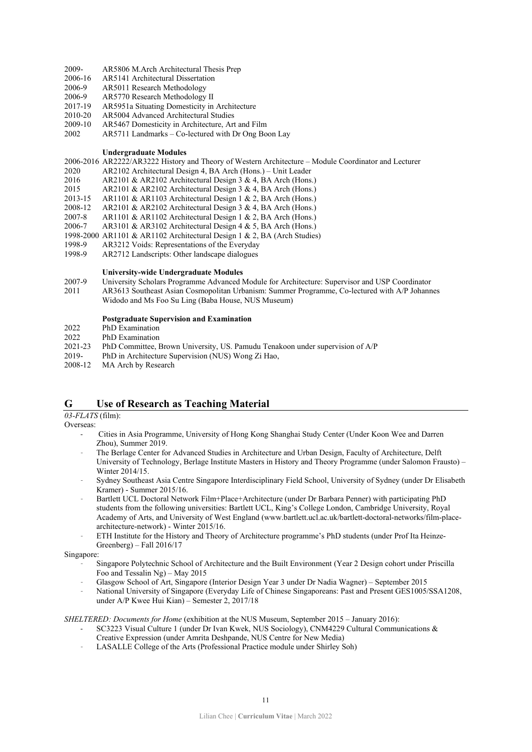- 2009- AR5806 M.Arch Architectural Thesis Prep<br>2006-16 AR5141 Architectural Dissertation
- AR5141 Architectural Dissertation
- 2006-9 AR5011 Research Methodology
- 2006-9 AR5770 Research Methodology II<br>2017-19 AR5951a Situating Domesticity in
- AR5951a Situating Domesticity in Architecture
- 2010-20 AR5004 Advanced Architectural Studies
- 2009-10 AR5467 Domesticity in Architecture, Art and Film
- 2002 AR5711 Landmarks Co-lectured with Dr Ong Boon Lay

### **Undergraduate Modules**

2006-2016 AR2222/AR3222 History and Theory of Western Architecture – Module Coordinator and Lecturer

- 2020 AR2102 Architectural Design 4, BA Arch (Hons.) Unit Leader
- 2016 AR2101 & AR2102 Architectural Design 3 & 4, BA Arch (Hons.)
- 2015 AR2101 & AR2102 Architectural Design 3 & 4, BA Arch (Hons.)
- 2013-15 AR1101 & AR1103 Architectural Design 1 & 2, BA Arch (Hons.)
- 2008-12 AR2101 & AR2102 Architectural Design 3 & 4, BA Arch (Hons.)
- 2007-8 AR1101 & AR1102 Architectural Design 1 & 2, BA Arch (Hons.)
- 2006-7 AR3101 & AR3102 Architectural Design 4 & 5, BA Arch (Hons.)
- 1998-2000 AR1101 & AR1102 Architectural Design 1 & 2, BA (Arch Studies)
- 1998-9 AR3212 Voids: Representations of the Everyday<br>1998-9 AR2712 Landscripts: Other landscape dialogues AR2712 Landscripts: Other landscape dialogues

### **University-wide Undergraduate Modules**

- 2007-9 University Scholars Programme Advanced Module for Architecture: Supervisor and USP Coordinator
- 2011 AR3613 Southeast Asian Cosmopolitan Urbanism: Summer Programme, Co-lectured with A/P Johannes Widodo and Ms Foo Su Ling (Baba House, NUS Museum)

### **Postgraduate Supervision and Examination**

- 2022 PhD Examination
- 2022 PhD Examination<br>2021-23 PhD Committee, l
- 2021-23 PhD Committee, Brown University, US. Pamudu Tenakoon under supervision of A/P<br>2019- PhD in Architecture Supervision (NUS) Wong Zi Hao.
- PhD in Architecture Supervision (NUS) Wong Zi Hao,
- 2008-12 MA Arch by Research

# **G Use of Research as Teaching Material**

*03-FLATS* (film):

Overseas:

- Cities in Asia Programme, University of Hong Kong Shanghai Study Center (Under Koon Wee and Darren Zhou), Summer 2019.
- The Berlage Center for Advanced Studies in Architecture and Urban Design, Faculty of Architecture, Delft University of Technology, Berlage Institute Masters in History and Theory Programme (under Salomon Frausto) – Winter 2014/15.
- Sydney Southeast Asia Centre Singapore Interdisciplinary Field School, University of Sydney (under Dr Elisabeth Kramer) - Summer 2015/16.
- Bartlett UCL Doctoral Network Film+Place+Architecture (under Dr Barbara Penner) with participating PhD students from the following universities: Bartlett UCL, King's College London, Cambridge University, Royal Academy of Arts, and University of West England [\(www.bartlett.ucl.ac.uk/bartlett-doctoral-networks/film-place](http://www.bartlett.ucl.ac.uk/bartlett-doctoral-networks/film-place-architecture-network)[architecture-network\)](http://www.bartlett.ucl.ac.uk/bartlett-doctoral-networks/film-place-architecture-network) - Winter 2015/16.
- ETH Institute for the History and Theory of Architecture programme's PhD students (under Prof Ita Heinze-Greenberg) – Fall 2016/17

Singapore:

- Singapore Polytechnic School of Architecture and the Built Environment (Year 2 Design cohort under Priscilla Foo and Tessalin Ng) – May 2015
- Glasgow School of Art, Singapore (Interior Design Year 3 under Dr Nadia Wagner) September 2015
- National University of Singapore (Everyday Life of Chinese Singaporeans: Past and Present GES1005/SSA1208, under A/P Kwee Hui Kian) – Semester 2, 2017/18

*SHELTERED: Documents for Home* (exhibition at the NUS Museum, September 2015 – January 2016):

- SC3223 Visual Culture 1 (under Dr Ivan Kwek, NUS Sociology), CNM4229 Cultural Communications & Creative Expression (under Amrita Deshpande, NUS Centre for New Media)
- LASALLE College of the Arts (Professional Practice module under Shirley Soh)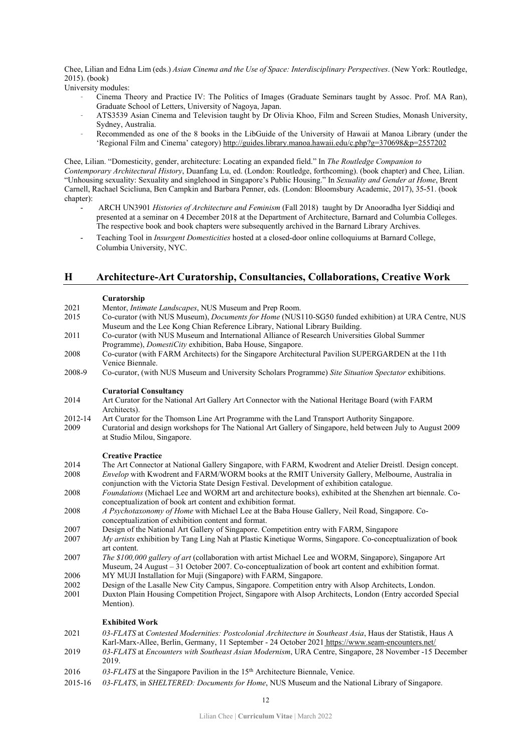Chee, Lilian and Edna Lim (eds.) *Asian Cinema and the Use of Space: Interdisciplinary Perspectives*. (New York: Routledge, 2015). (book)

University modules:

- Cinema Theory and Practice IV: The Politics of Images (Graduate Seminars taught by Assoc. Prof. MA Ran), Graduate School of Letters, University of Nagoya, Japan.
- ATS3539 Asian Cinema and Television taught by Dr Olivia Khoo, Film and Screen Studies, Monash University, Sydney, Australia.
- Recommended as one of the 8 books in the LibGuide of the University of Hawaii at Manoa Library (under the 'Regional Film and Cinema' category[\) http://guides.library.manoa.hawaii.edu/c.php?g=370698&p=2557202](http://guides.library.manoa.hawaii.edu/c.php?g=370698&p=2557202)

Chee, Lilian. "Domesticity, gender, architecture: Locating an expanded field." In *The Routledge Companion to Contemporary Architectural History*, Duanfang Lu, ed. (London: Routledge, forthcoming). (book chapter) and Chee, Lilian. "Unhousing sexuality: Sexuality and singlehood in Singapore's Public Housing." In *Sexuality and Gender at Home*, Brent Carnell, Rachael Scicliuna, Ben Campkin and Barbara Penner, eds. (London: Bloomsbury Academic, 2017), 35-51. (book chapter):

- ARCH UN3901 *Histories of Architecture and Feminism* (Fall 2018) taught by Dr Anooradha Iyer Siddiqi and presented at a seminar on 4 December 2018 at the Department of Architecture, Barnard and Columbia Colleges. The respective book and book chapters were subsequently archived in the Barnard Library Archives.
- Teaching Tool in *Insurgent Domesticities* hosted at a closed-door online colloquiums at Barnard College, Columbia University, NYC.

# **H Architecture-Art Curatorship, Consultancies, Collaborations, Creative Work**

### **Curatorship**

- 2021 Mentor, *Intimate Landscapes*, NUS Museum and Prep Room.<br>2015 Co-curator (with NUS Museum). *Documents for Home* (NUS
- 2015 Co-curator (with NUS Museum), *Documents for Home* (NUS110-SG50 funded exhibition) at URA Centre, NUS Museum and the Lee Kong Chian Reference Library, National Library Building.
- 2011 Co-curator (with NUS Museum and International Alliance of Research Universities Global Summer Programme), *DomestiCity* exhibition, Baba House, Singapore.
- 2008 Co-curator (with FARM Architects) for the Singapore Architectural Pavilion SUPERGARDEN at the 11th Venice Biennale.
- 2008-9 Co-curator, (with NUS Museum and University Scholars Programme) *Site Situation Spectator* exhibitions.

## **Curatorial Consultancy**

- 2014 Art Curator for the National Art Gallery Art Connector with the National Heritage Board (with FARM Architects).
- 2012-14 Art Curator for the Thomson Line Art Programme with the Land Transport Authority Singapore.<br>2009 Curatorial and design workshops for The National Art Gallery of Singapore, held between July to
- 2009 Curatorial and design workshops for The National Art Gallery of Singapore, held between July to August 2009 at Studio Milou, Singapore.

#### **Creative Practice**

- 2014 The Art Connector at National Gallery Singapore, with FARM, Kwodrent and Atelier Dreistl. Design concept.<br>2008 Envelop with Kwodrent and FARM/WORM books at the RMIT University Gallery, Melbourne, Australia in *Envelop* with Kwodrent and FARM/WORM books at the RMIT University Gallery, Melbourne, Australia in
- conjunction with the Victoria State Design Festival. Development of exhibition catalogue. 2008 *Foundations* (Michael Lee and WORM art and architecture books), exhibited at the Shenzhen art biennale. Coconceptualization of book art content and exhibition format.
- 2008 *A Psychotaxonomy of Home* with Michael Lee at the Baba House Gallery, Neil Road, Singapore. Coconceptualization of exhibition content and format.
- 2007 Design of the National Art Gallery of Singapore. Competition entry with FARM, Singapore
- 2007 *My artists* exhibition by Tang Ling Nah at Plastic Kinetique Worms, Singapore. Co-conceptualization of book art content.
- 2007 *The \$100,000 gallery of art* (collaboration with artist Michael Lee and WORM, Singapore), Singapore Art Museum, 24 August – 31 October 2007. Co-conceptualization of book art content and exhibition format.
- 2006 MY MUJI Installation for Muji (Singapore) with FARM, Singapore.
- 2002 Design of the Lasalle New City Campus, Singapore. Competition entry with Alsop Architects, London.
- 2001 Duxton Plain Housing Competition Project, Singapore with Alsop Architects, London (Entry accorded Special Mention).

# **Exhibited Work**

- 2021 *03-FLATS* at *Contested Modernities: Postcolonial Architecture in Southeast Asia*, Haus der Statistik, Haus A Karl-Marx-Allee, Berlin, Germany, 11 September - 24 October 2021 <https://www.seam-encounters.net/>
- 2019 *03-FLATS* at *Encounters with Southeast Asian Modernism*, URA Centre, Singapore, 28 November -15 December 2019.
- 2016 *03-FLATS* at the Singapore Pavilion in the 15th Architecture Biennale, Venice.
- 2015-16 *03-FLATS*, in *SHELTERED: Documents for Home*, NUS Museum and the National Library of Singapore.